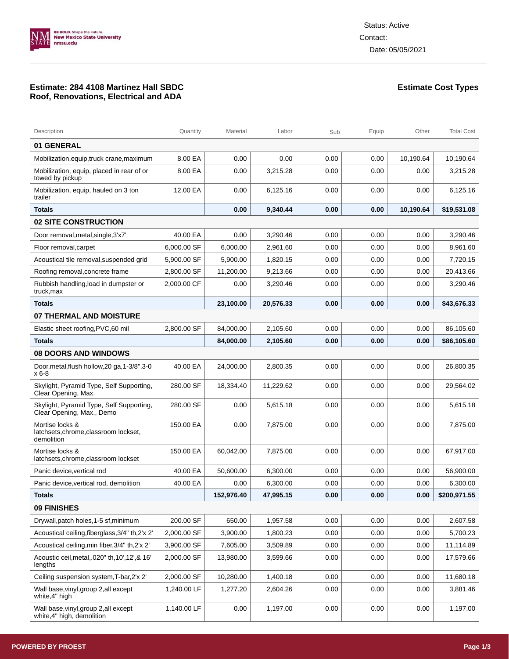

## **Estimate: 284 4108 Martinez Hall SBDC Roof, Renovations, Electrical and ADA**

## **Estimate Cost Types**

| Description                                                            | Quantity    | Material   | Labor     | Sub  | Equip | Other     | <b>Total Cost</b> |
|------------------------------------------------------------------------|-------------|------------|-----------|------|-------|-----------|-------------------|
| <b>01 GENERAL</b>                                                      |             |            |           |      |       |           |                   |
| Mobilization, equip, truck crane, maximum                              | 8.00 EA     | 0.00       | 0.00      | 0.00 | 0.00  | 10,190.64 | 10,190.64         |
| Mobilization, equip, placed in rear of or<br>towed by pickup           | 8.00 EA     | 0.00       | 3,215.28  | 0.00 | 0.00  | 0.00      | 3,215.28          |
| Mobilization, equip, hauled on 3 ton<br>trailer                        | 12.00 EA    | 0.00       | 6,125.16  | 0.00 | 0.00  | 0.00      | 6,125.16          |
| <b>Totals</b>                                                          |             | 0.00       | 9,340.44  | 0.00 | 0.00  | 10,190.64 | \$19,531.08       |
| <b>02 SITE CONSTRUCTION</b>                                            |             |            |           |      |       |           |                   |
| Door removal, metal, single, 3'x7'                                     | 40.00 EA    | 0.00       | 3,290.46  | 0.00 | 0.00  | 0.00      | 3.290.46          |
| Floor removal, carpet                                                  | 6,000.00 SF | 6.000.00   | 2,961.60  | 0.00 | 0.00  | 0.00      | 8,961.60          |
| Acoustical tile removal, suspended grid                                | 5,900.00 SF | 5,900.00   | 1,820.15  | 0.00 | 0.00  | 0.00      | 7,720.15          |
| Roofing removal, concrete frame                                        | 2,800.00 SF | 11,200.00  | 9,213.66  | 0.00 | 0.00  | 0.00      | 20,413.66         |
| Rubbish handling, load in dumpster or<br>truck, max                    | 2,000.00 CF | 0.00       | 3,290.46  | 0.00 | 0.00  | 0.00      | 3,290.46          |
| <b>Totals</b>                                                          |             | 23,100.00  | 20,576.33 | 0.00 | 0.00  | 0.00      | \$43,676.33       |
| 07 THERMAL AND MOISTURE                                                |             |            |           |      |       |           |                   |
| Elastic sheet roofing, PVC, 60 mil                                     | 2,800.00 SF | 84.000.00  | 2,105.60  | 0.00 | 0.00  | 0.00      | 86,105.60         |
| <b>Totals</b>                                                          |             | 84,000.00  | 2,105.60  | 0.00 | 0.00  | 0.00      | \$86,105.60       |
| <b>08 DOORS AND WINDOWS</b>                                            |             |            |           |      |       |           |                   |
| Door, metal, flush hollow, 20 ga, 1-3/8", 3-0<br>$x 6-8$               | 40.00 EA    | 24,000.00  | 2,800.35  | 0.00 | 0.00  | 0.00      | 26,800.35         |
| Skylight, Pyramid Type, Self Supporting,<br>Clear Opening, Max.        | 280.00 SF   | 18,334.40  | 11,229.62 | 0.00 | 0.00  | 0.00      | 29,564.02         |
| Skylight, Pyramid Type, Self Supporting,<br>Clear Opening, Max., Demo  | 280.00 SF   | 0.00       | 5,615.18  | 0.00 | 0.00  | 0.00      | 5,615.18          |
| Mortise locks &<br>latchsets, chrome, classroom lockset,<br>demolition | 150.00 EA   | 0.00       | 7,875.00  | 0.00 | 0.00  | 0.00      | 7,875.00          |
| Mortise locks &<br>latchsets, chrome, classroom lockset                | 150.00 EA   | 60,042.00  | 7.875.00  | 0.00 | 0.00  | 0.00      | 67,917.00         |
| Panic device, vertical rod                                             | 40.00 EA    | 50.600.00  | 6,300.00  | 0.00 | 0.00  | 0.00      | 56,900.00         |
| Panic device, vertical rod, demolition                                 | 40.00 EA    | 0.00       | 6,300.00  | 0.00 | 0.00  | 0.00      | 6,300.00          |
| <b>Totals</b>                                                          |             | 152,976.40 | 47,995.15 | 0.00 | 0.00  | 0.00      | \$200,971.55      |
| 09 FINISHES                                                            |             |            |           |      |       |           |                   |
| Drywall, patch holes, 1-5 sf, minimum                                  | 200.00 SF   | 650.00     | 1,957.58  | 0.00 | 0.00  | 0.00      | 2,607.58          |
| Acoustical ceiling, fiberglass, 3/4" th, 2'x 2"                        | 2,000.00 SF | 3,900.00   | 1.800.23  | 0.00 | 0.00  | 0.00      | 5,700.23          |
| Acoustical ceiling, min fiber, 3/4" th, 2'x 2"                         | 3,900.00 SF | 7,605.00   | 3,509.89  | 0.00 | 0.00  | 0.00      | 11,114.89         |
| Acoustic ceil, metal, .020" th, 10', 12', & 16'<br>lengths             | 2,000.00 SF | 13,980.00  | 3,599.66  | 0.00 | 0.00  | 0.00      | 17,579.66         |
| Ceiling suspension system, T-bar, 2'x 2'                               | 2,000.00 SF | 10,280.00  | 1,400.18  | 0.00 | 0.00  | 0.00      | 11,680.18         |
| Wall base, vinyl, group 2, all except<br>white, 4" high                | 1,240.00 LF | 1,277.20   | 2,604.26  | 0.00 | 0.00  | 0.00      | 3,881.46          |
| Wall base, vinyl, group 2, all except<br>white, 4" high, demolition    | 1,140.00 LF | 0.00       | 1,197.00  | 0.00 | 0.00  | 0.00      | 1,197.00          |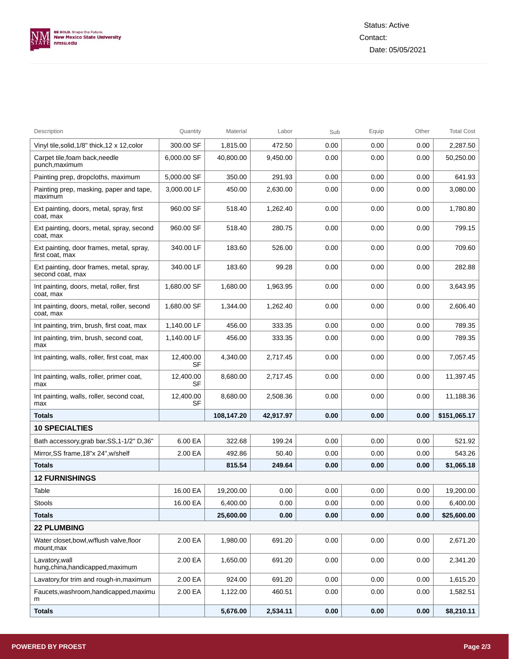

| Description                                                  | Quantity        | Material   | Labor     | Sub  | Equip | Other | <b>Total Cost</b> |
|--------------------------------------------------------------|-----------------|------------|-----------|------|-------|-------|-------------------|
| Vinyl tile, solid, 1/8" thick, 12 x 12, color                | 300.00 SF       | 1,815.00   | 472.50    | 0.00 | 0.00  | 0.00  | 2,287.50          |
| Carpet tile, foam back, needle<br>punch,maximum              | 6,000.00 SF     | 40,800.00  | 9.450.00  | 0.00 | 0.00  | 0.00  | 50,250.00         |
| Painting prep, dropcloths, maximum                           | 5,000.00 SF     | 350.00     | 291.93    | 0.00 | 0.00  | 0.00  | 641.93            |
| Painting prep, masking, paper and tape,<br>maximum           | 3,000.00 LF     | 450.00     | 2,630.00  | 0.00 | 0.00  | 0.00  | 3,080.00          |
| Ext painting, doors, metal, spray, first<br>coat, max        | 960.00 SF       | 518.40     | 1,262.40  | 0.00 | 0.00  | 0.00  | 1,780.80          |
| Ext painting, doors, metal, spray, second<br>coat, max       | 960.00 SF       | 518.40     | 280.75    | 0.00 | 0.00  | 0.00  | 799.15            |
| Ext painting, door frames, metal, spray,<br>first coat, max  | 340.00 LF       | 183.60     | 526.00    | 0.00 | 0.00  | 0.00  | 709.60            |
| Ext painting, door frames, metal, spray,<br>second coat, max | 340.00 LF       | 183.60     | 99.28     | 0.00 | 0.00  | 0.00  | 282.88            |
| Int painting, doors, metal, roller, first<br>coat, max       | 1,680.00 SF     | 1,680.00   | 1,963.95  | 0.00 | 0.00  | 0.00  | 3,643.95          |
| Int painting, doors, metal, roller, second<br>coat, max      | 1,680.00 SF     | 1,344.00   | 1,262.40  | 0.00 | 0.00  | 0.00  | 2.606.40          |
| Int painting, trim, brush, first coat, max                   | 1,140.00 LF     | 456.00     | 333.35    | 0.00 | 0.00  | 0.00  | 789.35            |
| Int painting, trim, brush, second coat,<br>max               | 1,140.00 LF     | 456.00     | 333.35    | 0.00 | 0.00  | 0.00  | 789.35            |
| Int painting, walls, roller, first coat, max                 | 12,400.00<br>SF | 4,340.00   | 2,717.45  | 0.00 | 0.00  | 0.00  | 7,057.45          |
| Int painting, walls, roller, primer coat,<br>max             | 12,400.00<br>SF | 8,680.00   | 2,717.45  | 0.00 | 0.00  | 0.00  | 11,397.45         |
| Int painting, walls, roller, second coat,<br>max             | 12,400.00<br>SF | 8,680.00   | 2,508.36  | 0.00 | 0.00  | 0.00  | 11,188.36         |
| Totals                                                       |                 | 108,147.20 | 42,917.97 | 0.00 | 0.00  | 0.00  | \$151,065.17      |
| <b>10 SPECIALTIES</b>                                        |                 |            |           |      |       |       |                   |
| Bath accessory, grab bar, SS, 1-1/2" D, 36"                  | 6.00 EA         | 322.68     | 199.24    | 0.00 | 0.00  | 0.00  | 521.92            |
| Mirror, SS frame, 18"x 24", w/shelf                          | 2.00 EA         | 492.86     | 50.40     | 0.00 | 0.00  | 0.00  | 543.26            |
| <b>Totals</b>                                                |                 | 815.54     | 249.64    | 0.00 | 0.00  | 0.00  | \$1,065.18        |
| <b>12 FURNISHINGS</b>                                        |                 |            |           |      |       |       |                   |
| Table                                                        | 16.00 EA        | 19,200.00  | 0.00      | 0.00 | 0.00  | 0.00  | 19,200.00         |
| Stools                                                       | 16.00 EA        | 6,400.00   | 0.00      | 0.00 | 0.00  | 0.00  | 6,400.00          |
| Totals                                                       |                 | 25,600.00  | 0.00      | 0.00 | 0.00  | 0.00  | \$25,600.00       |
| <b>22 PLUMBING</b>                                           |                 |            |           |      |       |       |                   |
| Water closet, bowl, w/flush valve, floor<br>mount,max        | 2.00 EA         | 1,980.00   | 691.20    | 0.00 | 0.00  | 0.00  | 2,671.20          |
| Lavatory, wall<br>hung, china, handicapped, maximum          | 2.00 EA         | 1,650.00   | 691.20    | 0.00 | 0.00  | 0.00  | 2,341.20          |
| Lavatory, for trim and rough-in, maximum                     | 2.00 EA         | 924.00     | 691.20    | 0.00 | 0.00  | 0.00  | 1,615.20          |
| Faucets, washroom, handicapped, maximu<br>m                  | 2.00 EA         | 1,122.00   | 460.51    | 0.00 | 0.00  | 0.00  | 1,582.51          |
| <b>Totals</b>                                                |                 | 5,676.00   | 2,534.11  | 0.00 | 0.00  | 0.00  | \$8,210.11        |